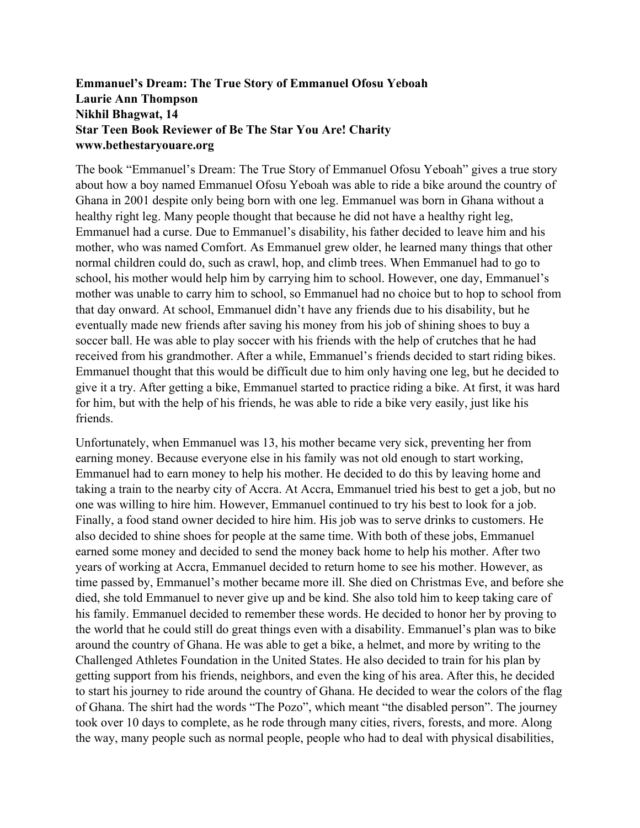## **Emmanuel's Dream: The True Story of Emmanuel Ofosu Yeboah Laurie Ann Thompson Nikhil Bhagwat, 14 Star Teen Book Reviewer of Be The Star You Are! Charity www.bethestaryouare.org**

The book "Emmanuel's Dream: The True Story of Emmanuel Ofosu Yeboah" gives a true story about how a boy named Emmanuel Ofosu Yeboah was able to ride a bike around the country of Ghana in 2001 despite only being born with one leg. Emmanuel was born in Ghana without a healthy right leg. Many people thought that because he did not have a healthy right leg, Emmanuel had a curse. Due to Emmanuel's disability, his father decided to leave him and his mother, who was named Comfort. As Emmanuel grew older, he learned many things that other normal children could do, such as crawl, hop, and climb trees. When Emmanuel had to go to school, his mother would help him by carrying him to school. However, one day, Emmanuel's mother was unable to carry him to school, so Emmanuel had no choice but to hop to school from that day onward. At school, Emmanuel didn't have any friends due to his disability, but he eventually made new friends after saving his money from his job of shining shoes to buy a soccer ball. He was able to play soccer with his friends with the help of crutches that he had received from his grandmother. After a while, Emmanuel's friends decided to start riding bikes. Emmanuel thought that this would be difficult due to him only having one leg, but he decided to give it a try. After getting a bike, Emmanuel started to practice riding a bike. At first, it was hard for him, but with the help of his friends, he was able to ride a bike very easily, just like his friends.

Unfortunately, when Emmanuel was 13, his mother became very sick, preventing her from earning money. Because everyone else in his family was not old enough to start working, Emmanuel had to earn money to help his mother. He decided to do this by leaving home and taking a train to the nearby city of Accra. At Accra, Emmanuel tried his best to get a job, but no one was willing to hire him. However, Emmanuel continued to try his best to look for a job. Finally, a food stand owner decided to hire him. His job was to serve drinks to customers. He also decided to shine shoes for people at the same time. With both of these jobs, Emmanuel earned some money and decided to send the money back home to help his mother. After two years of working at Accra, Emmanuel decided to return home to see his mother. However, as time passed by, Emmanuel's mother became more ill. She died on Christmas Eve, and before she died, she told Emmanuel to never give up and be kind. She also told him to keep taking care of his family. Emmanuel decided to remember these words. He decided to honor her by proving to the world that he could still do great things even with a disability. Emmanuel's plan was to bike around the country of Ghana. He was able to get a bike, a helmet, and more by writing to the Challenged Athletes Foundation in the United States. He also decided to train for his plan by getting support from his friends, neighbors, and even the king of his area. After this, he decided to start his journey to ride around the country of Ghana. He decided to wear the colors of the flag of Ghana. The shirt had the words "The Pozo", which meant "the disabled person". The journey took over 10 days to complete, as he rode through many cities, rivers, forests, and more. Along the way, many people such as normal people, people who had to deal with physical disabilities,